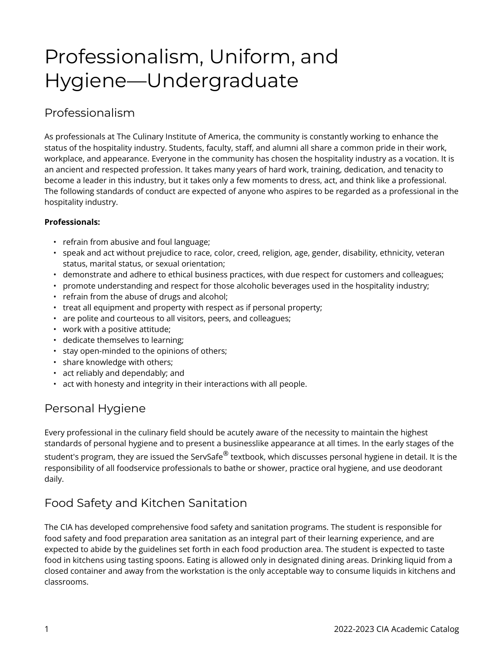# Professionalism, Uniform, and Hygiene—Undergraduate

# Professionalism

As professionals at The Culinary Institute of America, the community is constantly working to enhance the status of the hospitality industry. Students, faculty, staff, and alumni all share a common pride in their work, workplace, and appearance. Everyone in the community has chosen the hospitality industry as a vocation. It is an ancient and respected profession. It takes many years of hard work, training, dedication, and tenacity to become a leader in this industry, but it takes only a few moments to dress, act, and think like a professional. The following standards of conduct are expected of anyone who aspires to be regarded as a professional in the hospitality industry.

## **Professionals:**

- refrain from abusive and foul language;
- speak and act without prejudice to race, color, creed, religion, age, gender, disability, ethnicity, veteran status, marital status, or sexual orientation;
- demonstrate and adhere to ethical business practices, with due respect for customers and colleagues;
- promote understanding and respect for those alcoholic beverages used in the hospitality industry;
- refrain from the abuse of drugs and alcohol;
- treat all equipment and property with respect as if personal property;
- are polite and courteous to all visitors, peers, and colleagues;
- work with a positive attitude;
- dedicate themselves to learning;
- stay open-minded to the opinions of others;
- share knowledge with others;
- act reliably and dependably; and
- act with honesty and integrity in their interactions with all people.

# Personal Hygiene

Every professional in the culinary field should be acutely aware of the necessity to maintain the highest standards of personal hygiene and to present a businesslike appearance at all times. In the early stages of the student's program, they are issued the ServSafe $^\circledR$  textbook, which discusses personal hygiene in detail. It is the responsibility of all foodservice professionals to bathe or shower, practice oral hygiene, and use deodorant daily.

# Food Safety and Kitchen Sanitation

The CIA has developed comprehensive food safety and sanitation programs. The student is responsible for food safety and food preparation area sanitation as an integral part of their learning experience, and are expected to abide by the guidelines set forth in each food production area. The student is expected to taste food in kitchens using tasting spoons. Eating is allowed only in designated dining areas. Drinking liquid from a closed container and away from the workstation is the only acceptable way to consume liquids in kitchens and classrooms.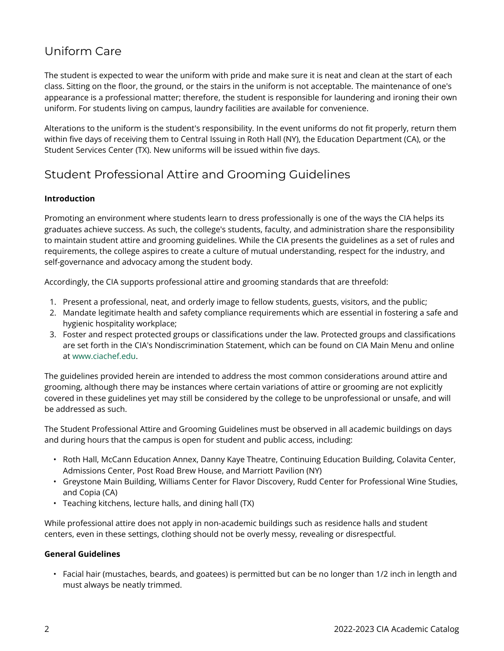# Uniform Care

The student is expected to wear the uniform with pride and make sure it is neat and clean at the start of each class. Sitting on the floor, the ground, or the stairs in the uniform is not acceptable. The maintenance of one's appearance is a professional matter; therefore, the student is responsible for laundering and ironing their own uniform. For students living on campus, laundry facilities are available for convenience.

Alterations to the uniform is the student's responsibility. In the event uniforms do not fit properly, return them within five days of receiving them to Central Issuing in Roth Hall (NY), the Education Department (CA), or the Student Services Center (TX). New uniforms will be issued within five days.

# Student Professional Attire and Grooming Guidelines

## **Introduction**

Promoting an environment where students learn to dress professionally is one of the ways the CIA helps its graduates achieve success. As such, the college's students, faculty, and administration share the responsibility to maintain student attire and grooming guidelines. While the CIA presents the guidelines as a set of rules and requirements, the college aspires to create a culture of mutual understanding, respect for the industry, and self-governance and advocacy among the student body.

Accordingly, the CIA supports professional attire and grooming standards that are threefold:

- 1. Present a professional, neat, and orderly image to fellow students, guests, visitors, and the public;
- 2. Mandate legitimate health and safety compliance requirements which are essential in fostering a safe and hygienic hospitality workplace;
- 3. Foster and respect protected groups or classifications under the law. Protected groups and classifications are set forth in the CIA's Nondiscrimination Statement, which can be found on CIA Main Menu and online at [www.ciachef.edu](https://www.ciachef.edu/).

The guidelines provided herein are intended to address the most common considerations around attire and grooming, although there may be instances where certain variations of attire or grooming are not explicitly covered in these guidelines yet may still be considered by the college to be unprofessional or unsafe, and will be addressed as such.

The Student Professional Attire and Grooming Guidelines must be observed in all academic buildings on days and during hours that the campus is open for student and public access, including:

- Roth Hall, McCann Education Annex, Danny Kaye Theatre, Continuing Education Building, Colavita Center, Admissions Center, Post Road Brew House, and Marriott Pavilion (NY)
- Greystone Main Building, Williams Center for Flavor Discovery, Rudd Center for Professional Wine Studies, and Copia (CA)
- Teaching kitchens, lecture halls, and dining hall (TX)

While professional attire does not apply in non-academic buildings such as residence halls and student centers, even in these settings, clothing should not be overly messy, revealing or disrespectful.

#### **General Guidelines**

• Facial hair (mustaches, beards, and goatees) is permitted but can be no longer than 1/2 inch in length and must always be neatly trimmed.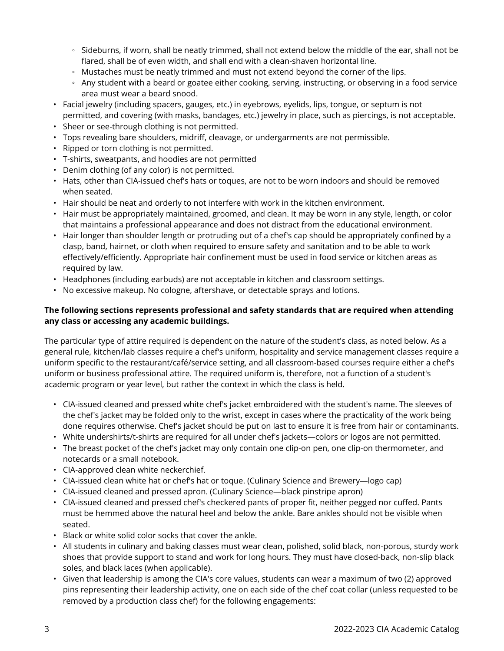- Sideburns, if worn, shall be neatly trimmed, shall not extend below the middle of the ear, shall not be flared, shall be of even width, and shall end with a clean-shaven horizontal line.
- Mustaches must be neatly trimmed and must not extend beyond the corner of the lips.
- Any student with a beard or goatee either cooking, serving, instructing, or observing in a food service area must wear a beard snood.
- Facial jewelry (including spacers, gauges, etc.) in eyebrows, eyelids, lips, tongue, or septum is not permitted, and covering (with masks, bandages, etc.) jewelry in place, such as piercings, is not acceptable.
- Sheer or see-through clothing is not permitted.
- Tops revealing bare shoulders, midriff, cleavage, or undergarments are not permissible.
- Ripped or torn clothing is not permitted.
- T-shirts, sweatpants, and hoodies are not permitted
- Denim clothing (of any color) is not permitted.
- Hats, other than CIA-issued chef's hats or toques, are not to be worn indoors and should be removed when seated.
- Hair should be neat and orderly to not interfere with work in the kitchen environment.
- Hair must be appropriately maintained, groomed, and clean. It may be worn in any style, length, or color that maintains a professional appearance and does not distract from the educational environment.
- Hair longer than shoulder length or protruding out of a chef's cap should be appropriately confined by a clasp, band, hairnet, or cloth when required to ensure safety and sanitation and to be able to work effectively/efficiently. Appropriate hair confinement must be used in food service or kitchen areas as required by law.
- Headphones (including earbuds) are not acceptable in kitchen and classroom settings.
- No excessive makeup. No cologne, aftershave, or detectable sprays and lotions.

## **The following sections represents professional and safety standards that are required when attending any class or accessing any academic buildings.**

The particular type of attire required is dependent on the nature of the student's class, as noted below. As a general rule, kitchen/lab classes require a chef's uniform, hospitality and service management classes require a uniform specific to the restaurant/café/service setting, and all classroom-based courses require either a chef's uniform or business professional attire. The required uniform is, therefore, not a function of a student's academic program or year level, but rather the context in which the class is held.

- CIA-issued cleaned and pressed white chef's jacket embroidered with the student's name. The sleeves of the chef's jacket may be folded only to the wrist, except in cases where the practicality of the work being done requires otherwise. Chef's jacket should be put on last to ensure it is free from hair or contaminants.
- White undershirts/t-shirts are required for all under chef's jackets—colors or logos are not permitted.
- The breast pocket of the chef's jacket may only contain one clip-on pen, one clip-on thermometer, and notecards or a small notebook.
- CIA-approved clean white neckerchief.
- CIA-issued clean white hat or chef's hat or toque. (Culinary Science and Brewery—logo cap)
- CIA-issued cleaned and pressed apron. (Culinary Science—black pinstripe apron)
- CIA-issued cleaned and pressed chef's checkered pants of proper fit, neither pegged nor cuffed. Pants must be hemmed above the natural heel and below the ankle. Bare ankles should not be visible when seated.
- Black or white solid color socks that cover the ankle.
- All students in culinary and baking classes must wear clean, polished, solid black, non-porous, sturdy work shoes that provide support to stand and work for long hours. They must have closed-back, non-slip black soles, and black laces (when applicable).
- Given that leadership is among the CIA's core values, students can wear a maximum of two (2) approved pins representing their leadership activity, one on each side of the chef coat collar (unless requested to be removed by a production class chef) for the following engagements: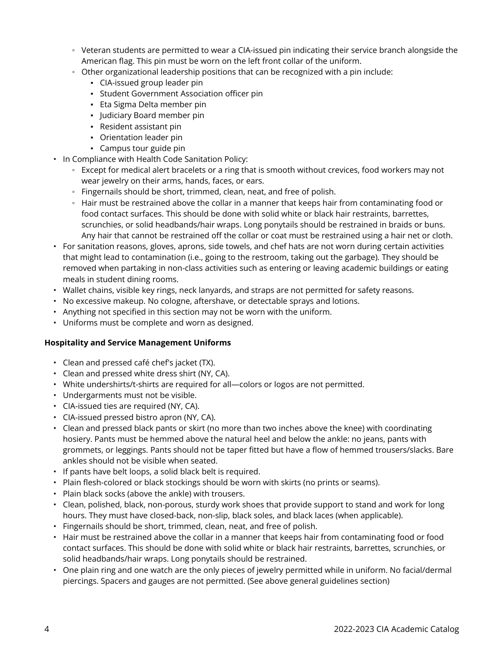- Veteran students are permitted to wear a CIA-issued pin indicating their service branch alongside the American flag. This pin must be worn on the left front collar of the uniform.
- Other organizational leadership positions that can be recognized with a pin include:
	- CIA-issued group leader pin
	- Student Government Association officer pin
	- Eta Sigma Delta member pin
	- Judiciary Board member pin
	- Resident assistant pin
	- Orientation leader pin
	- Campus tour guide pin
- In Compliance with Health Code Sanitation Policy:
	- Except for medical alert bracelets or a ring that is smooth without crevices, food workers may not wear jewelry on their arms, hands, faces, or ears.
	- Fingernails should be short, trimmed, clean, neat, and free of polish.
	- Hair must be restrained above the collar in a manner that keeps hair from contaminating food or food contact surfaces. This should be done with solid white or black hair restraints, barrettes, scrunchies, or solid headbands/hair wraps. Long ponytails should be restrained in braids or buns. Any hair that cannot be restrained off the collar or coat must be restrained using a hair net or cloth.
- For sanitation reasons, gloves, aprons, side towels, and chef hats are not worn during certain activities that might lead to contamination (i.e., going to the restroom, taking out the garbage). They should be removed when partaking in non-class activities such as entering or leaving academic buildings or eating meals in student dining rooms.
- Wallet chains, visible key rings, neck lanyards, and straps are not permitted for safety reasons.
- No excessive makeup. No cologne, aftershave, or detectable sprays and lotions.
- Anything not specified in this section may not be worn with the uniform.
- Uniforms must be complete and worn as designed.

#### **Hospitality and Service Management Uniforms**

- Clean and pressed café chef's jacket (TX).
- Clean and pressed white dress shirt (NY, CA).
- White undershirts/t-shirts are required for all—colors or logos are not permitted.
- Undergarments must not be visible.
- CIA-issued ties are required (NY, CA).
- CIA-issued pressed bistro apron (NY, CA).
- Clean and pressed black pants or skirt (no more than two inches above the knee) with coordinating hosiery. Pants must be hemmed above the natural heel and below the ankle: no jeans, pants with grommets, or leggings. Pants should not be taper fitted but have a flow of hemmed trousers/slacks. Bare ankles should not be visible when seated.
- If pants have belt loops, a solid black belt is required.
- Plain flesh-colored or black stockings should be worn with skirts (no prints or seams).
- Plain black socks (above the ankle) with trousers.
- Clean, polished, black, non-porous, sturdy work shoes that provide support to stand and work for long hours. They must have closed-back, non-slip, black soles, and black laces (when applicable).
- Fingernails should be short, trimmed, clean, neat, and free of polish.
- Hair must be restrained above the collar in a manner that keeps hair from contaminating food or food contact surfaces. This should be done with solid white or black hair restraints, barrettes, scrunchies, or solid headbands/hair wraps. Long ponytails should be restrained.
- One plain ring and one watch are the only pieces of jewelry permitted while in uniform. No facial/dermal piercings. Spacers and gauges are not permitted. (See above general guidelines section)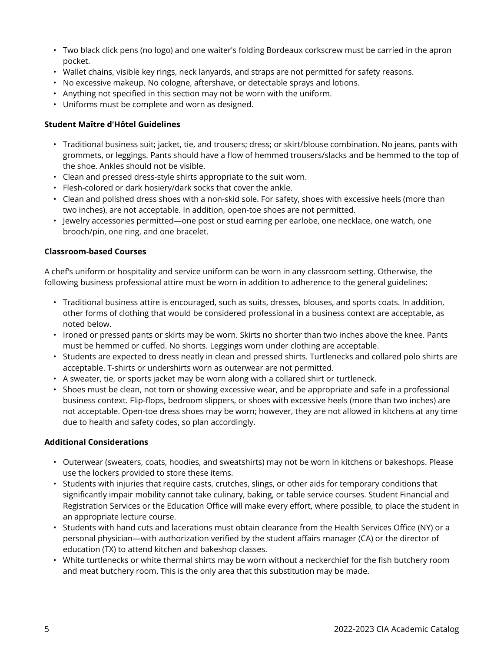- Two black click pens (no logo) and one waiter's folding Bordeaux corkscrew must be carried in the apron pocket.
- Wallet chains, visible key rings, neck lanyards, and straps are not permitted for safety reasons.
- No excessive makeup. No cologne, aftershave, or detectable sprays and lotions.
- Anything not specified in this section may not be worn with the uniform.
- Uniforms must be complete and worn as designed.

#### **Student Maître d'Hôtel Guidelines**

- Traditional business suit; jacket, tie, and trousers; dress; or skirt/blouse combination. No jeans, pants with grommets, or leggings. Pants should have a flow of hemmed trousers/slacks and be hemmed to the top of the shoe. Ankles should not be visible.
- Clean and pressed dress-style shirts appropriate to the suit worn.
- Flesh-colored or dark hosiery/dark socks that cover the ankle.
- Clean and polished dress shoes with a non-skid sole. For safety, shoes with excessive heels (more than two inches), are not acceptable. In addition, open-toe shoes are not permitted.
- Jewelry accessories permitted—one post or stud earring per earlobe, one necklace, one watch, one brooch/pin, one ring, and one bracelet.

#### **Classroom-based Courses**

A chef's uniform or hospitality and service uniform can be worn in any classroom setting. Otherwise, the following business professional attire must be worn in addition to adherence to the general guidelines:

- Traditional business attire is encouraged, such as suits, dresses, blouses, and sports coats. In addition, other forms of clothing that would be considered professional in a business context are acceptable, as noted below.
- Ironed or pressed pants or skirts may be worn. Skirts no shorter than two inches above the knee. Pants must be hemmed or cuffed. No shorts. Leggings worn under clothing are acceptable.
- Students are expected to dress neatly in clean and pressed shirts. Turtlenecks and collared polo shirts are acceptable. T-shirts or undershirts worn as outerwear are not permitted.
- A sweater, tie, or sports jacket may be worn along with a collared shirt or turtleneck.
- Shoes must be clean, not torn or showing excessive wear, and be appropriate and safe in a professional business context. Flip-flops, bedroom slippers, or shoes with excessive heels (more than two inches) are not acceptable. Open-toe dress shoes may be worn; however, they are not allowed in kitchens at any time due to health and safety codes, so plan accordingly.

#### **Additional Considerations**

- Outerwear (sweaters, coats, hoodies, and sweatshirts) may not be worn in kitchens or bakeshops. Please use the lockers provided to store these items.
- Students with injuries that require casts, crutches, slings, or other aids for temporary conditions that significantly impair mobility cannot take culinary, baking, or table service courses. Student Financial and Registration Services or the Education Office will make every effort, where possible, to place the student in an appropriate lecture course.
- Students with hand cuts and lacerations must obtain clearance from the Health Services Office (NY) or a personal physician—with authorization verified by the student affairs manager (CA) or the director of education (TX) to attend kitchen and bakeshop classes.
- White turtlenecks or white thermal shirts may be worn without a neckerchief for the fish butchery room and meat butchery room. This is the only area that this substitution may be made.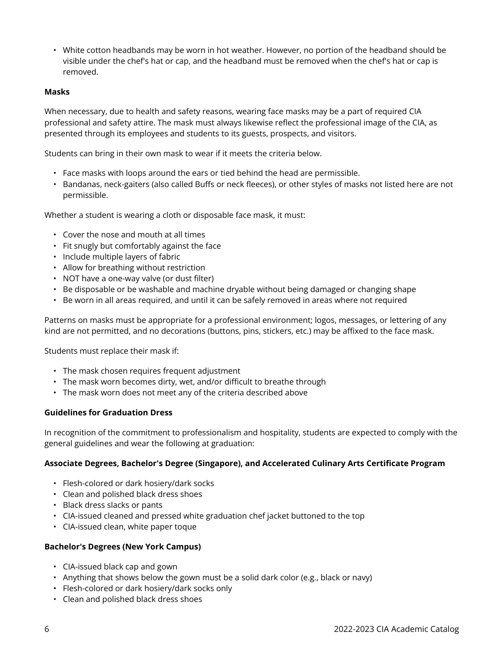• White cotton headbands may be worn in hot weather. However, no portion of the headband should be visible under the chef's hat or cap, and the headband must be removed when the chef's hat or cap is removed.

#### **Masks**

When necessary, due to health and safety reasons, wearing face masks may be a part of required CIA professional and safety attire. The mask must always likewise reflect the professional image of the CIA, as presented through its employees and students to its guests, prospects, and visitors.

Students can bring in their own mask to wear if it meets the criteria below.

- Face masks with loops around the ears or tied behind the head are permissible.
- Bandanas, neck-gaiters (also called Buffs or neck fleeces), or other styles of masks not listed here are not permissible.

Whether a student is wearing a cloth or disposable face mask, it must:

- Cover the nose and mouth at all times
- Fit snugly but comfortably against the face
- Include multiple layers of fabric
- Allow for breathing without restriction
- NOT have a one-way valve (or dust filter)
- Be disposable or be washable and machine dryable without being damaged or changing shape
- Be worn in all areas required, and until it can be safely removed in areas where not required

Patterns on masks must be appropriate for a professional environment; logos, messages, or lettering of any kind are not permitted, and no decorations (buttons, pins, stickers, etc.) may be affixed to the face mask.

Students must replace their mask if:

- The mask chosen requires frequent adjustment
- The mask worn becomes dirty, wet, and/or difficult to breathe through
- The mask worn does not meet any of the criteria described above

#### **Guidelines for Graduation Dress**

In recognition of the commitment to professionalism and hospitality, students are expected to comply with the general guidelines and wear the following at graduation:

#### **Associate Degrees, Bachelor's Degree (Singapore), and Accelerated Culinary Arts Certificate Program**

- Flesh-colored or dark hosiery/dark socks
- Clean and polished black dress shoes
- Black dress slacks or pants
- CIA-issued cleaned and pressed white graduation chef jacket buttoned to the top
- CIA-issued clean, white paper toque

#### **Bachelor's Degrees (New York Campus)**

- CIA-issued black cap and gown
- Anything that shows below the gown must be a solid dark color (e.g., black or navy)
- Flesh-colored or dark hosiery/dark socks only
- Clean and polished black dress shoes